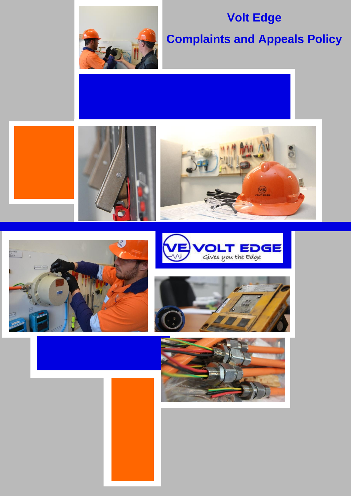

# **Volt Edge**

# **Complaints and Appeals Policy**











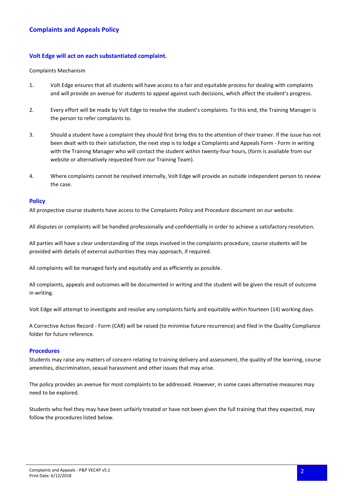## **Volt Edge will act on each substantiated complaint.**

#### Complaints Mechanism

- 1. Volt Edge ensures that all students will have access to a fair and equitable process for dealing with complaints and will provide an avenue for students to appeal against such decisions, which affect the student's progress.
- 2. Every effort will be made by Volt Edge to resolve the student's complaints. To this end, the Training Manager is the person to refer complaints to.
- 3. Should a student have a complaint they should first bring this to the attention of their trainer. If the issue has not been dealt with to their satisfaction, the next step is to lodge a Complaints and Appeals Form - Form in writing with the Training Manager who will contact the student within twenty-four hours, (form is available from our website or alternatively requested from our Training Team).
- 4. Where complaints cannot be resolved internally, Volt Edge will provide an outside independent person to review the case.

#### **Policy**

All prospective course students have access to the Complaints Policy and Procedure document on our website.

All disputes or complaints will be handled professionally and confidentially in order to achieve a satisfactory resolution.

All parties will have a clear understanding of the steps involved in the complaints procedure, course students will be provided with details of external authorities they may approach, if required.

All complaints will be managed fairly and equitably and as efficiently as possible.

All complaints, appeals and outcomes will be documented in writing and the student will be given the result of outcome in writing.

Volt Edge will attempt to investigate and resolve any complaints fairly and equitably within fourteen (14) working days.

A Corrective Action Record - Form (CAR) will be raised (to minimise future recurrence) and filed in the Quality Compliance folder for future reference.

### **Procedures**

Students may raise any matters of concern relating to training delivery and assessment, the quality of the learning, course amenities, discrimination, sexual harassment and other issues that may arise.

The policy provides an avenue for most complaints to be addressed. However, in some cases alternative measures may need to be explored.

Students who feel they may have been unfairly treated or have not been given the full training that they expected, may follow the procedures listed below.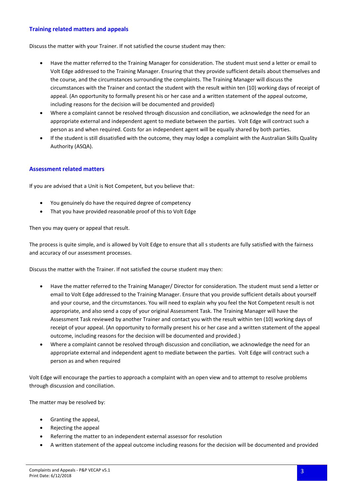## **Training related matters and appeals**

Discuss the matter with your Trainer. If not satisfied the course student may then:

- Have the matter referred to the Training Manager for consideration. The student must send a letter or email to Volt Edge addressed to the Training Manager. Ensuring that they provide sufficient details about themselves and the course, and the circumstances surrounding the complaints. The Training Manager will discuss the circumstances with the Trainer and contact the student with the result within ten (10) working days of receipt of appeal. (An opportunity to formally present his or her case and a written statement of the appeal outcome, including reasons for the decision will be documented and provided)
- Where a complaint cannot be resolved through discussion and conciliation, we acknowledge the need for an appropriate external and independent agent to mediate between the parties. Volt Edge will contract such a person as and when required. Costs for an independent agent will be equally shared by both parties.
- If the student is still dissatisfied with the outcome, they may lodge a complaint with the Australian Skills Quality Authority (ASQA).

### **Assessment related matters**

If you are advised that a Unit is Not Competent, but you believe that:

- You genuinely do have the required degree of competency
- That you have provided reasonable proof of this to Volt Edge

Then you may query or appeal that result.

The process is quite simple, and is allowed by Volt Edge to ensure that all s students are fully satisfied with the fairness and accuracy of our assessment processes.

Discuss the matter with the Trainer. If not satisfied the course student may then:

- Have the matter referred to the Training Manager/ Director for consideration. The student must send a letter or email to Volt Edge addressed to the Training Manager. Ensure that you provide sufficient details about yourself and your course, and the circumstances. You will need to explain why you feel the Not Competent result is not appropriate, and also send a copy of your original Assessment Task. The Training Manager will have the Assessment Task reviewed by another Trainer and contact you with the result within ten (10) working days of receipt of your appeal. (An opportunity to formally present his or her case and a written statement of the appeal outcome, including reasons for the decision will be documented and provided.)
- Where a complaint cannot be resolved through discussion and conciliation, we acknowledge the need for an appropriate external and independent agent to mediate between the parties. Volt Edge will contract such a person as and when required

Volt Edge will encourage the parties to approach a complaint with an open view and to attempt to resolve problems through discussion and conciliation.

The matter may be resolved by:

- Granting the appeal,
- Rejecting the appeal
- Referring the matter to an independent external assessor for resolution
- A written statement of the appeal outcome including reasons for the decision will be documented and provided